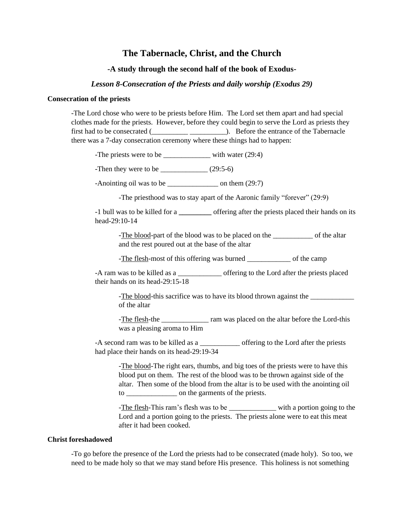# **The Tabernacle, Christ, and the Church**

## **-A study through the second half of the book of Exodus-**

## *Lesson 8-Consecration of the Priests and daily worship (Exodus 29)*

#### **Consecration of the priests**

-The Lord chose who were to be priests before Him. The Lord set them apart and had special clothes made for the priests. However, before they could begin to serve the Lord as priests they first had to be consecrated (  $\qquad \qquad$ ). Before the entrance of the Tabernacle there was a 7-day consecration ceremony where these things had to happen:

-The priests were to be \_\_\_\_\_\_\_\_\_\_\_\_\_\_\_ with water (29:4)

-Then they were to be  $\_$ (29:5-6)

-Anointing oil was to be \_\_\_\_\_\_\_\_\_\_\_\_\_\_ on them (29:7)

-The priesthood was to stay apart of the Aaronic family "forever" (29:9)

-1 bull was to be killed for a **\_\_\_\_\_\_\_\_\_** offering after the priests placed their hands on its head-29:10-14

-The blood-part of the blood was to be placed on the \_\_\_\_\_\_\_\_\_\_\_\_ of the altar and the rest poured out at the base of the altar

-The flesh-most of this offering was burned \_\_\_\_\_\_\_\_\_\_\_\_ of the camp

-A ram was to be killed as a \_\_\_\_\_\_\_\_\_\_\_\_ offering to the Lord after the priests placed their hands on its head-29:15-18

-The blood-this sacrifice was to have its blood thrown against the \_\_\_\_\_\_\_\_\_\_\_\_\_ of the altar

-The flesh-the \_\_\_\_\_\_\_\_\_\_\_\_\_ ram was placed on the altar before the Lord-this was a pleasing aroma to Him

-A second ram was to be killed as a \_\_\_\_\_\_\_\_\_\_\_ offering to the Lord after the priests had place their hands on its head-29:19-34

-The blood-The right ears, thumbs, and big toes of the priests were to have this blood put on them. The rest of the blood was to be thrown against side of the altar. Then some of the blood from the altar is to be used with the anointing oil to \_\_\_\_\_\_\_\_\_\_\_\_\_\_ on the garments of the priests.

-The flesh-This ram's flesh was to be with a portion going to the Lord and a portion going to the priests. The priests alone were to eat this meat after it had been cooked.

## **Christ foreshadowed**

-To go before the presence of the Lord the priests had to be consecrated (made holy). So too, we need to be made holy so that we may stand before His presence. This holiness is not something